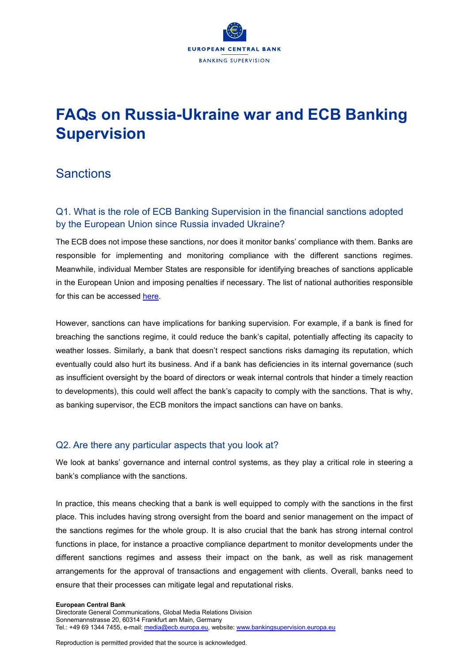# **FAQs on Russia-Ukraine war and ECB Banking Supervision**

# **Sanctions**

# Q1. What is the role of ECB Banking Supervision in the financial sanctions adopted by the European Union since Russia invaded Ukraine?

The ECB does not impose these sanctions, nor does it monitor banks' compliance with them. Banks are responsible for implementing and monitoring compliance with the different sanctions regimes. Meanwhile, individual Member States are responsible for identifying breaches of sanctions applicable in the European Union and imposing penalties if necessary. The list of national authorities responsible for this can be accessed [here.](https://ec.europa.eu/info/sites/default/files/business_economy_euro/banking_and_finance/documents/national-competent-authorities-sanctions-implementation_en.pdf)

However, sanctions can have implications for banking supervision. For example, if a bank is fined for breaching the sanctions regime, it could reduce the bank's capital, potentially affecting its capacity to weather losses. Similarly, a bank that doesn't respect sanctions risks damaging its reputation, which eventually could also hurt its business. And if a bank has deficiencies in its internal governance (such as insufficient oversight by the board of directors or weak internal controls that hinder a timely reaction to developments), this could well affect the bank's capacity to comply with the sanctions. That is why, as banking supervisor, the ECB monitors the impact sanctions can have on banks.

### Q2. Are there any particular aspects that you look at?

We look at banks' governance and internal control systems, as they play a critical role in steering a bank's compliance with the sanctions.

In practice, this means checking that a bank is well equipped to comply with the sanctions in the first place. This includes having strong oversight from the board and senior management on the impact of the sanctions regimes for the whole group. It is also crucial that the bank has strong internal control functions in place, for instance a proactive compliance department to monitor developments under the different sanctions regimes and assess their impact on the bank, as well as risk management arrangements for the approval of transactions and engagement with clients. Overall, banks need to ensure that their processes can mitigate legal and reputational risks.

#### **European Central Bank**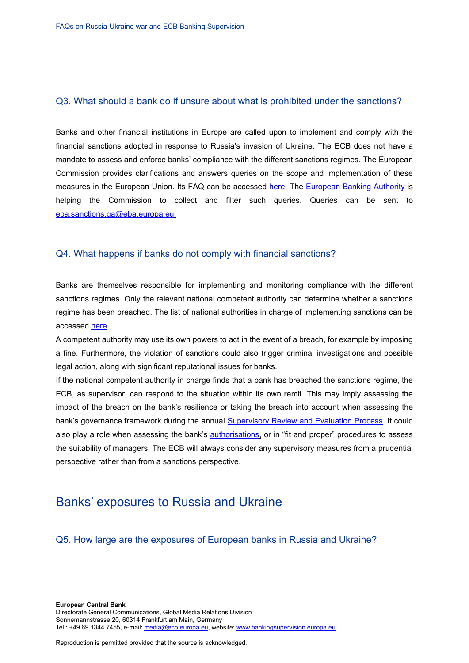### Q3. What should a bank do if unsure about what is prohibited under the sanctions?

Banks and other financial institutions in Europe are called upon to implement and comply with the financial sanctions adopted in response to Russia's invasion of Ukraine. The ECB does not have a mandate to assess and enforce banks' compliance with the different sanctions regimes. The European Commission provides clarifications and answers queries on the scope and implementation of these measures in the European Union. Its FAQ can be accessed [here.](https://ec.europa.eu/commission/presscorner/detail/en/qanda_22_1401) The [European Banking Authority](https://www.eba.europa.eu/eba-calls-financial-institutions-ensure-compliance-sanctions-against-russia-following-invasion) is helping the Commission to collect and filter such queries. Queries can be sent to [eba.sanctions.qa@eba.europa.eu.](mailto:eba.sanctions.qa@eba.europa.eu)

### Q4. What happens if banks do not comply with financial sanctions?

Banks are themselves responsible for implementing and monitoring compliance with the different sanctions regimes. Only the relevant national competent authority can determine whether a sanctions regime has been breached. The list of national authorities in charge of implementing sanctions can be accessed [here.](https://ec.europa.eu/info/sites/default/files/business_economy_euro/banking_and_finance/documents/national-competent-authorities-sanctions-implementation_en.pdf)

A competent authority may use its own powers to act in the event of a breach, for example by imposing a fine. Furthermore, the violation of sanctions could also trigger criminal investigations and possible legal action, along with significant reputational issues for banks.

If the national competent authority in charge finds that a bank has breached the sanctions regime, the ECB, as supervisor, can respond to the situation within its own remit. This may imply assessing the impact of the breach on the bank's resilience or taking the breach into account when assessing the bank's governance framework during the annual [Supervisory Review and Evaluation Process.](https://www.bankingsupervision.europa.eu/banking/srep/html/index.en.html) It could also play a role when assessing the bank's **authorisations**, or in "fit and proper" procedures to assess the suitability of managers. The ECB will always consider any supervisory measures from a prudential perspective rather than from a sanctions perspective.

# Banks' exposures to Russia and Ukraine

Q5. How large are the exposures of European banks in Russia and Ukraine?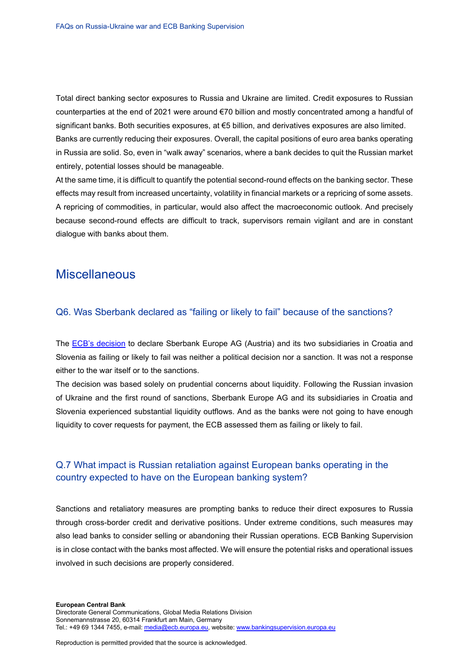Total direct banking sector exposures to Russia and Ukraine are limited. Credit exposures to Russian counterparties at the end of 2021 were around €70 billion and mostly concentrated among a handful of significant banks. Both securities exposures, at €5 billion, and derivatives exposures are also limited. Banks are currently reducing their exposures. Overall, the capital positions of euro area banks operating in Russia are solid. So, even in "walk away" scenarios, where a bank decides to quit the Russian market entirely, potential losses should be manageable.

At the same time, it is difficult to quantify the potential second-round effects on the banking sector. These effects may result from increased uncertainty, volatility in financial markets or a repricing of some assets. A repricing of commodities, in particular, would also affect the macroeconomic outlook. And precisely because second-round effects are difficult to track, supervisors remain vigilant and are in constant dialogue with banks about them.

# **Miscellaneous**

#### Q6. Was Sberbank declared as "failing or likely to fail" because of the sanctions?

The **ECB's decision** to declare Sberbank Europe AG (Austria) and its two subsidiaries in Croatia and Slovenia as failing or likely to fail was neither a political decision nor a sanction. It was not a response either to the war itself or to the sanctions.

The decision was based solely on prudential concerns about liquidity. Following the Russian invasion of Ukraine and the first round of sanctions, Sberbank Europe AG and its subsidiaries in Croatia and Slovenia experienced substantial liquidity outflows. And as the banks were not going to have enough liquidity to cover requests for payment, the ECB assessed them as failing or likely to fail.

### Q.7 What impact is Russian retaliation against European banks operating in the country expected to have on the European banking system?

Sanctions and retaliatory measures are prompting banks to reduce their direct exposures to Russia through cross-border credit and derivative positions. Under extreme conditions, such measures may also lead banks to consider selling or abandoning their Russian operations. ECB Banking Supervision is in close contact with the banks most affected. We will ensure the potential risks and operational issues involved in such decisions are properly considered.